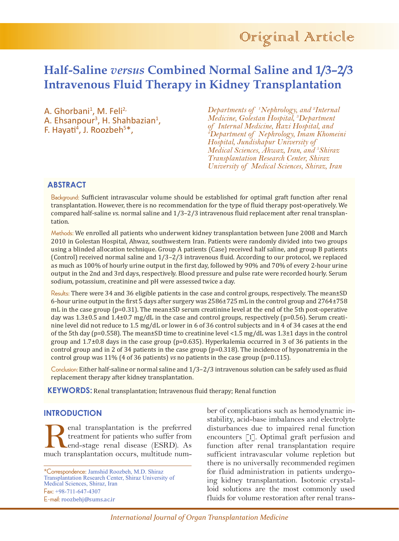# **Half-Saline** *versus* **Combined Normal Saline and 1/3–2/3 Intravenous Fluid Therapy in Kidney Transplantation**

A. Ghorbani<sup>1</sup>, M. Feli<sup>2,</sup> A. Ehsanpour<sup>3</sup>, H. Shahbazian<sup>1</sup>,<br>F. Hayati<sup>4</sup>, J. Roozbeh<sup>5\*</sup>, , J. Roozbeh<sup>5\*</sup>,

*Departments of 1 Nephrology, and 2 Internal Medicine, Golestan Hospital, 3 Department of Internal Medicine, Razi Hospital, and 4 Department of Nephrology, Imam Khomeini Hospital, Jundishapur University of Medical Sciences, Ahwaz, Iran, and 5 Shiraz Transplantation Research Center, Shiraz University of Medical Sciences, Shiraz, Iran*

## **ABSTRACT**

Background: Sufficient intravascular volume should be established for optimal graft function after renal transplantation. However, there is no recommendation for the type of fluid therapy post-operatively. We compared half-saline *vs*. normal saline and 1/3–2/3 intravenous fluid replacement after renal transplantation.

Methods: We enrolled all patients who underwent kidney transplantation between June 2008 and March 2010 in Golestan Hospital, Ahwaz, southwestern Iran. Patients were randomly divided into two groups using a blinded allocation technique. Group A patients (Case) received half saline, and group B patients (Control) received normal saline and 1/3–2/3 intravenous fluid. According to our protocol, we replaced as much as 100% of hourly urine output in the first day, followed by 90% and 70% of every 2-hour urine output in the 2nd and 3rd days, respectively. Blood pressure and pulse rate were recorded hourly. Serum sodium, potassium, creatinine and pH were assessed twice a day.

Results: There were 34 and 36 eligible patients in the case and control groups, respectively. The mean $\pm$ SD 6-hour urine output in the first 5 days after surgery was 2586±725 mL in the control group and 2764±758 mL in the case group ( $p=0.31$ ). The mean $\pm$ SD serum creatinine level at the end of the 5th post-operative day was  $1.3\pm0.5$  and  $1.4\pm0.7$  mg/dL in the case and control groups, respectively (p=0.56). Serum creatinine level did not reduce to 1.5 mg/dL or lower in 6 of 36 control subjects and in 4 of 34 cases at the end of the 5th day (p=0.558). The mean±SD time to creatinine level <1.5 mg/dL was 1.3±1 days in the control group and  $1.7\pm0.8$  days in the case group (p=0.635). Hyperkalemia occurred in 3 of 36 patients in the control group and in 2 of 34 patients in the case group  $(p=0.318)$ . The incidence of hyponatremia in the control group was 11% (4 of 36 patients) *vs* no patients in the case group (p=0.115).

Conclusion: Either half-saline or normal saline and 1/3–2/3 intravenous solution can be safely used as fluid replacement therapy after kidney transplantation.

**KEYWORDS:** Renal transplantation; Intravenous fluid therapy; Renal function

### **INTRODUCTION**

enal transplantation is the preferred treatment for patients who suffer from end-stage renal disease (ESRD). As much transplantation occurs, multitude num-

\*Correspondence: Jamshid Roozbeh, M.D. Shiraz Transplantation Research Center, Shiraz University of Medical Sciences, Shiraz, Iran Fax: +98-711-647-4307 E-mail: roozbehj@sums.ac.ir

ber of complications such as hemodynamic instability, acid-base imbalances and electrolyte disturbances due to impaired renal function encounters [1]. Optimal graft perfusion and function after renal transplantation require sufficient intravascular volume repletion but there is no universally recommended regimen for fluid administration in patients undergoing kidney transplantation. Isotonic crystalloid solutions are the most commonly used fluids for volume restoration after renal trans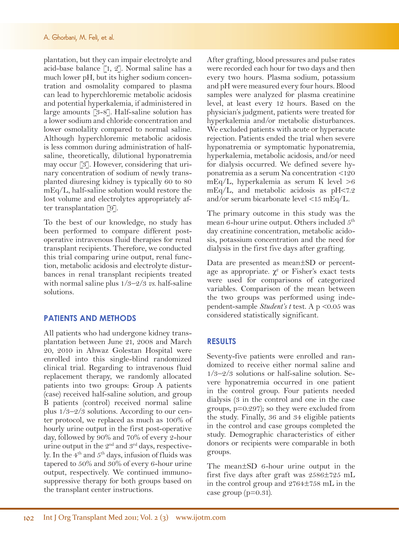plantation, but they can impair electrolyte and acid-base balance [1, 2]. Normal saline has a much lower pH, but its higher sodium concentration and osmolality compared to plasma can lead to hyperchloremic metabolic acidosis and potential hyperkalemia, if administered in large amounts [3-8]. Half-saline solution has a lower sodium and chloride concentration and lower osmolality compared to normal saline. Although hyperchloremic metabolic acidosis is less common during administration of halfsaline, theoretically, dilutional hyponatremia may occur [3]. However, considering that urinary concentration of sodium of newly transplanted diuresing kidney is typically 60 to 80 mEq/L, half-saline solution would restore the lost volume and electrolytes appropriately after transplantation [9].

To the best of our knowledge, no study has been performed to compare different postoperative intravenous fluid therapies for renal transplant recipients. Therefore, we conducted this trial comparing urine output, renal function, metabolic acidosis and electrolyte disturbances in renal transplant recipients treated with normal saline plus 1/3–2/3 *vs*. half-saline solutions.

## **PATIENTS AND METHODS**

All patients who had undergone kidney transplantation between June 21, 2008 and March 20, 2010 in Ahwaz Golestan Hospital were enrolled into this single-blind randomized clinical trial. Regarding to intravenous fluid replacement therapy, we randomly allocated patients into two groups: Group A patients (case) received half-saline solution, and group B patients (control) received normal saline plus 1/3–2/3 solutions. According to our center protocol, we replaced as much as 100% of hourly urine output in the first post-operative day, followed by 90% and 70% of every 2-hour urine output in the  $2<sup>nd</sup>$  and  $3<sup>rd</sup>$  days, respectively. In the  $4<sup>th</sup>$  and  $5<sup>th</sup>$  days, infusion of fluids was tapered to 50% and 30% of every 6-hour urine output, respectively. We continued immunosuppressive therapy for both groups based on the transplant center instructions.

After grafting, blood pressures and pulse rates were recorded each hour for two days and then every two hours. Plasma sodium, potassium and pH were measured every four hours. Blood samples were analyzed for plasma creatinine level, at least every 12 hours. Based on the physician's judgment, patients were treated for hyperkalemia and/or metabolic disturbances. We excluded patients with acute or hyperacute rejection. Patients ended the trial when severe hyponatremia or symptomatic hyponatremia, hyperkalemia, metabolic acidosis, and/or need for dialysis occurred. We defined severe hyponatremia as a serum Na concentration <120 mEq/L, hyperkalemia as serum K level >6  $mEq/L$ , and metabolic acidosis as pH<7.2 and/or serum bicarbonate level <15 mEq/L.

The primary outcome in this study was the mean 6-hour urine output. Others included  $5<sup>th</sup>$ day creatinine concentration, metabolic acidosis, potassium concentration and the need for dialysis in the first five days after grafting.

Data are presented as mean±SD or percentage as appropriate.  $\chi^2$  or Fisher's exact tests were used for comparisons of categorized variables. Comparison of the mean between the two groups was performed using independent-sample *Student's t* test. A p <0.05 was considered statistically significant.

#### **RESULTS**

Seventy-five patients were enrolled and randomized to receive either normal saline and 1/3–2/3 solutions or half-saline solution. Severe hyponatremia occurred in one patient in the control group. Four patients needed dialysis (3 in the control and one in the case groups, p=0.297); so they were excluded from the study. Finally, 36 and 34 eligible patients in the control and case groups completed the study. Demographic characteristics of either donors or recipients were comparable in both groups.

The mean±SD 6-hour urine output in the first five days after graft was 2586±725 mL in the control group and 2764±758 mL in the case group (p=0.31).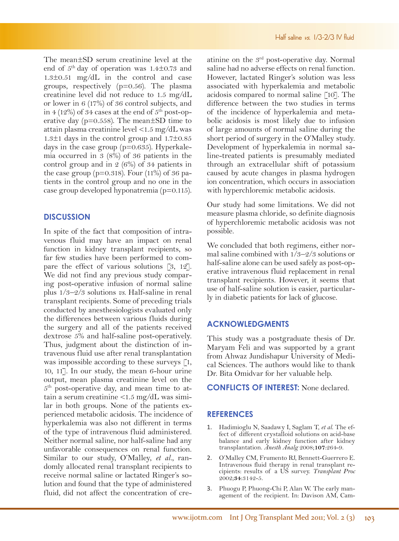The mean±SD serum creatinine level at the end of  $5<sup>th</sup>$  day of operation was 1.4 $\pm$ 0.73 and 1.3±0.51 mg/dL in the control and case groups, respectively (p=0.56). The plasma creatinine level did not reduce to 1.5 mg/dL or lower in 6 (17%) of 36 control subjects, and in 4 (12%) of 34 cases at the end of  $5<sup>th</sup>$  post-operative day ( $p=0.558$ ). The mean $\pm SD$  time to attain plasma creatinine level <1.5 mg/dL was 1.3±1 days in the control group and 1.7±0.85 days in the case group (p=0.635). Hyperkalemia occurred in 3 (8%) of 36 patients in the control group and in 2 (6%) of 34 patients in the case group ( $p=0.318$ ). Four (11%) of 36 patients in the control group and no one in the case group developed hyponatremia (p=0.115).

### **DISCUSSION**

In spite of the fact that composition of intravenous fluid may have an impact on renal function in kidney transplant recipients, so far few studies have been performed to compare the effect of various solutions [3, 12]. We did not find any previous study comparing post-operative infusion of normal saline plus 1/3–2/3 solutions *vs*. Half-saline in renal transplant recipients. Some of preceding trials conducted by anesthesiologists evaluated only the differences between various fluids during the surgery and all of the patients received dextrose 5% and half-saline post-operatively. Thus, judgment about the distinction of intravenous fluid use after renal transplantation was impossible according to these surveys [1, 10, 11]. In our study, the mean 6-hour urine output, mean plasma creatinine level on the 5th post-operative day, and mean time to attain a serum creatinine <1.5 mg/dL was similar in both groups. None of the patients experienced metabolic acidosis. The incidence of hyperkalemia was also not different in terms of the type of intravenous fluid administered. Neither normal saline, nor half-saline had any unfavorable consequences on renal function. Similar to our study, O'Malley, *et al.*, randomly allocated renal transplant recipients to receive normal saline or lactated Ringer's solution and found that the type of administered fluid, did not affect the concentration of cre-

atinine on the  $3<sup>rd</sup>$  post-operative day. Normal saline had no adverse effects on renal function. However, lactated Ringer's solution was less associated with hyperkalemia and metabolic acidosis compared to normal saline [10]. The difference between the two studies in terms of the incidence of hyperkalemia and metabolic acidosis is most likely due to infusion of large amounts of normal saline during the short period of surgery in the O'Malley study. Development of hyperkalemia in normal saline-treated patients is presumably mediated through an extracellular shift of potassium caused by acute changes in plasma hydrogen ion concentration, which occurs in association with hyperchloremic metabolic acidosis.

Our study had some limitations. We did not measure plasma chloride, so definite diagnosis of hyperchloremic metabolic acidosis was not possible.

We concluded that both regimens, either normal saline combined with  $1/3-2/3$  solutions or half-saline alone can be used safely as post-operative intravenous fluid replacement in renal transplant recipients. However, it seems that use of half-saline solution is easier, particularly in diabetic patients for lack of glucose.

#### **ACKNOWLEDGMENTS**

This study was a postgraduate thesis of Dr. Maryam Feli and was supported by a grant from Ahwaz Jundishapur University of Medical Sciences. The authors would like to thank Dr. Bita Omidvar for her valuable help.

**CONFLICTS OF INTEREST:** None declared.

#### **REFERENCES**

- 1. Hadimioglu N, Saadawy I, Saglam T, *et al*. The ef- fect of different crystalloid solutions on acid-base balance and early kidney function after kidney transplantation. *Anesth Analg* 2008;**107**:264-9.
- 2. O'Malley CM, Frumento RJ, Bennett-Guerrero E. cipients: results of a US survey. *Transplant Proc* 2002;**34**:3142-5.
- 3. Phuogu P, Phuong-Chi P, Alan W. The early management of the recipient. In: Davison AM, Cam-